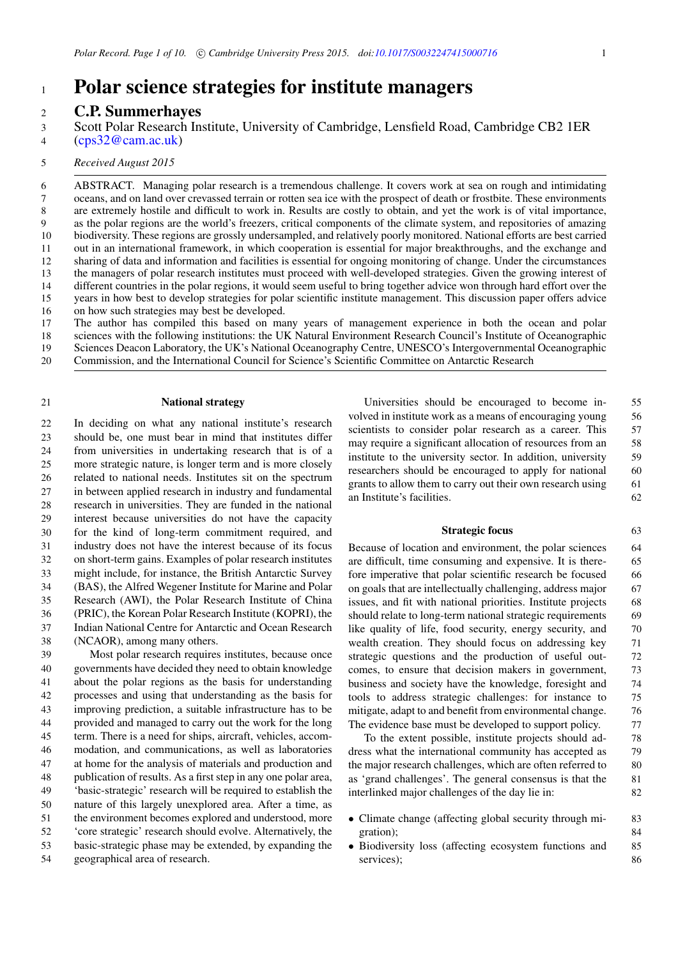# <sup>1</sup> **Polar science strategies for institute managers**

# <sup>2</sup> **C.P. Summerhayes**

- [\(cps32@cam.ac.uk\)](mailto:cps32@cam.ac.uk) 4
- 5 *Received August 2015*

ABSTRACT. Managing polar research is a tremendous challenge. It covers work at sea on rough and intimidating oceans, and on land over crevassed terrain or rotten sea ice with the prospect of death or frostbite. These environments are extremely hostile and difficult to work in. Results are costly to obtain, and yet the work is of vital importance, as the polar regions are the world's freezers, critical components of the climate system, and repositories of amazing biodiversity. These regions are grossly undersampled, and relatively poorly monitored. National efforts are best carried out in an international framework, in which cooperation is essential for major breakthroughs, and the exchange and sharing of data and information and facilities is essential for ongoing monitoring of change. Under the circumstances the managers of polar research institutes must proceed with well-developed strategies. Given the growing interest of different countries in the polar regions, it would seem useful to bring together advice won through hard effort over the years in how best to develop strategies for polar scientific institute management. This discussion paper offers advice on how such strategies may best be developed. 6 7 8 9 10 11 12 13 14 15 16

- The author has compiled this based on many years of management experience in both the ocean and polar sciences with the following institutions: the UK Natural Environment Research Council's Institute of Oceanographic 17 18
- Sciences Deacon Laboratory, the UK's National Oceanography Centre, UNESCO's Intergovernmental Oceanographic 19
- Commission, and the International Council for Science's Scientific Committee on Antarctic Research 20

## 21 **National strategy**

 In deciding on what any national institute's research should be, one must bear in mind that institutes differ from universities in undertaking research that is of a more strategic nature, is longer term and is more closely related to national needs. Institutes sit on the spectrum in between applied research in industry and fundamental research in universities. They are funded in the national interest because universities do not have the capacity for the kind of long-term commitment required, and industry does not have the interest because of its focus on short-term gains. Examples of polar research institutes might include, for instance, the British Antarctic Survey (BAS), the Alfred Wegener Institute for Marine and Polar Research (AWI), the Polar Research Institute of China (PRIC), the Korean Polar Research Institute (KOPRI), the Indian National Centre for Antarctic and Ocean Research (NCAOR), among many others.

 Most polar research requires institutes, because once governments have decided they need to obtain knowledge about the polar regions as the basis for understanding processes and using that understanding as the basis for improving prediction, a suitable infrastructure has to be provided and managed to carry out the work for the long term. There is a need for ships, aircraft, vehicles, accom- modation, and communications, as well as laboratories at home for the analysis of materials and production and publication of results. As a first step in any one polar area, 'basic-strategic' research will be required to establish the nature of this largely unexplored area. After a time, as the environment becomes explored and understood, more 'core strategic' research should evolve. Alternatively, the basic-strategic phase may be extended, by expanding the geographical area of research.

Universities should be encouraged to become in- 55 volved in institute work as a means of encouraging young 56 scientists to consider polar research as a career. This 57 may require a significant allocation of resources from an 58 institute to the university sector. In addition, university 59 researchers should be encouraged to apply for national 60 grants to allow them to carry out their own research using 61 an Institute's facilities. 62

#### **Strategic focus** 63

Because of location and environment, the polar sciences 64 are difficult, time consuming and expensive. It is there- 65 fore imperative that polar scientific research be focused 66 on goals that are intellectually challenging, address major 67 issues, and fit with national priorities. Institute projects 68 should relate to long-term national strategic requirements 69 like quality of life, food security, energy security, and  $\qquad$  70 wealth creation. They should focus on addressing key 71 strategic questions and the production of useful out- 72 comes, to ensure that decision makers in government, 73 business and society have the knowledge, foresight and 74 tools to address strategic challenges: for instance to 75 mitigate, adapt to and benefit from environmental change. 76 The evidence base must be developed to support policy.  $\frac{77}{2}$ 

To the extent possible, institute projects should ad- 78 dress what the international community has accepted as 79 the major research challenges, which are often referred to 80 as 'grand challenges'. The general consensus is that the 81 interlinked major challenges of the day lie in: 82

- Climate change (affecting global security through mi-<br>gration): 84 gration);
- Biodiversity loss (affecting ecosystem functions and 85 services): services);

Scott Polar Research Institute, University of Cambridge, Lensfield Road, Cambridge CB2 1ER 3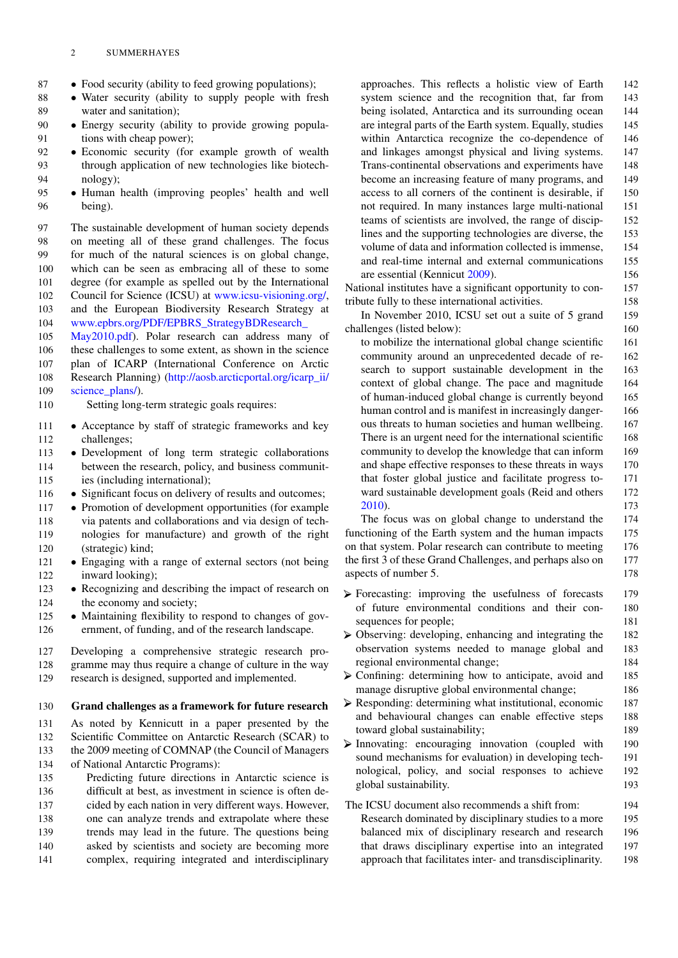## 2 SUMMERHAYES

- 87 Food security (ability to feed growing populations);<br>88 Water security (ability to supply people with fre
- 88 Water security (ability to supply people with fresh water and sanitation): water and sanitation);
- 90 Energy security (ability to provide growing popula-<br>91 tions with cheap power): tions with cheap power);
- 92 Economic security (for example growth of wealth through application of new technologies like biotechthrough application of new technologies like biotech-94 nology);
- <sup>95</sup> Human health (improving peoples' health and well being).

 The sustainable development of human society depends on meeting all of these grand challenges. The focus for much of the natural sciences is on global change, which can be seen as embracing all of these to some degree (for example as spelled out by the International Council for Science (ICSU) at [www.icsu-visioning.org/,](http://www.icsu-visioning.org/) and the European Biodiversity Research Strategy at

104 [www.epbrs.or](http://www.epbrs.org/PDF/EPBRS_StrategyBDResearch_May2010.pdf)g/PDF/EPBRS\_StrategyBDResearch\_

105 [May2010.pdf\)](http://www.epbrs.org/PDF/EPBRS_StrategyBDResearch_May2010.pdf). Polar research can address many of

106 these challenges to some extent, as shown in the science 107 plan of ICARP (International Conference on Arctic 108 Research Planning) [\(h](http://aosb.arcticportal.org/icarp_ii/science_plans/)ttp://aosb.arcticportal.org/icarp\_ii/

109 science plans/).

110 Setting long-term strategic goals requires:

- 111 Acceptance by staff of strategic frameworks and key<br>112 challenges: challenges;
- 113 Development of long term strategic collaborations<br>114 between the research, policy, and business communitbetween the research, policy, and business communit-115 ies (including international);
- **Significant focus on delivery of results and outcomes;**<br>117 Promotion of development opportunities (for example
- 117 Promotion of development opportunities (for example 118 via patents and collaborations and via design of techvia patents and collaborations and via design of tech-119 nologies for manufacture) and growth of the right 120 (strategic) kind;
- 121 Engaging with a range of external sectors (not being<br>122 inward looking): inward looking);
- 123 Recognizing and describing the impact of research on 124 the economy and society; the economy and society;
- <sup>125</sup> Maintaining flexibility to respond to changes of government, of funding, and of the research landscape.
- 127 Developing a comprehensive strategic research pro-128 gramme may thus require a change of culture in the way
- 129 research is designed, supported and implemented.

# 130 **Grand challenges as a framework for future research**

131 As noted by Kennicutt in a paper presented by the 132 Scientific Committee on Antarctic Research (SCAR) to 133 the 2009 meeting of COMNAP (the Council of Managers

134 of National Antarctic Programs):

 Predicting future directions in Antarctic science is difficult at best, as investment in science is often de- cided by each nation in very different ways. However, one can analyze trends and extrapolate where these trends may lead in the future. The questions being asked by scientists and society are becoming more complex, requiring integrated and interdisciplinary approaches. This reflects a holistic view of Earth 142 system science and the recognition that, far from 143 being isolated, Antarctica and its surrounding ocean 144 are integral parts of the Earth system. Equally, studies 145 within Antarctica recognize the co-dependence of 146 and linkages amongst physical and living systems. 147 Trans-continental observations and experiments have 148 become an increasing feature of many programs, and 149 access to all corners of the continent is desirable, if 150 not required. In many instances large multi-national 151 teams of scientists are involved, the range of discip- 152 lines and the supporting technologies are diverse, the 153 volume of data and information collected is immense, 154 and real-time internal and external communications 155 are essential (Kennicut 2009). 156

National institutes have a significant opportunity to con- 157 tribute fully to these international activities. 158

In November 2010, ICSU set out a suite of 5 grand 159 challenges (listed below): 160

to mobilize the international global change scientific 161 community around an unprecedented decade of re- 162 search to support sustainable development in the 163 context of global change. The pace and magnitude 164 of human-induced global change is currently beyond 165 human control and is manifest in increasingly danger-<br>166 ous threats to human societies and human wellbeing. 167 There is an urgent need for the international scientific 168 community to develop the knowledge that can inform 169 and shape effective responses to these threats in ways 170 that foster global justice and facilitate progress to- 171 ward sustainable development goals (Reid and others 172 2010). 173

The focus was on global change to understand the 174 functioning of the Earth system and the human impacts 175 on that system. Polar research can contribute to meeting 176 the first 3 of these Grand Challenges, and perhaps also on 177 aspects of number 5. 178

- Forecasting: improving the usefulness of forecasts 179 of future environmental conditions and their con- 180 sequences for people; 181
- Observing: developing, enhancing and integrating the 182 observation systems needed to manage global and 183 regional environmental change; 184
- $\triangleright$  Confining: determining how to anticipate, avoid and 185 manage disruptive global environmental change; 186
- $\triangleright$  Responding: determining what institutional, economic 187 and behavioural changes can enable effective steps 188 toward global sustainability; 189
- $\triangleright$  Innovating: encouraging innovation (coupled with 190 sound mechanisms for evaluation) in developing tech-<br>191 nological, policy, and social responses to achieve 192 global sustainability. 193

# The ICSU document also recommends a shift from: 194 Research dominated by disciplinary studies to a more 195 balanced mix of disciplinary research and research 196 that draws disciplinary expertise into an integrated 197 approach that facilitates inter- and transdisciplinarity. 198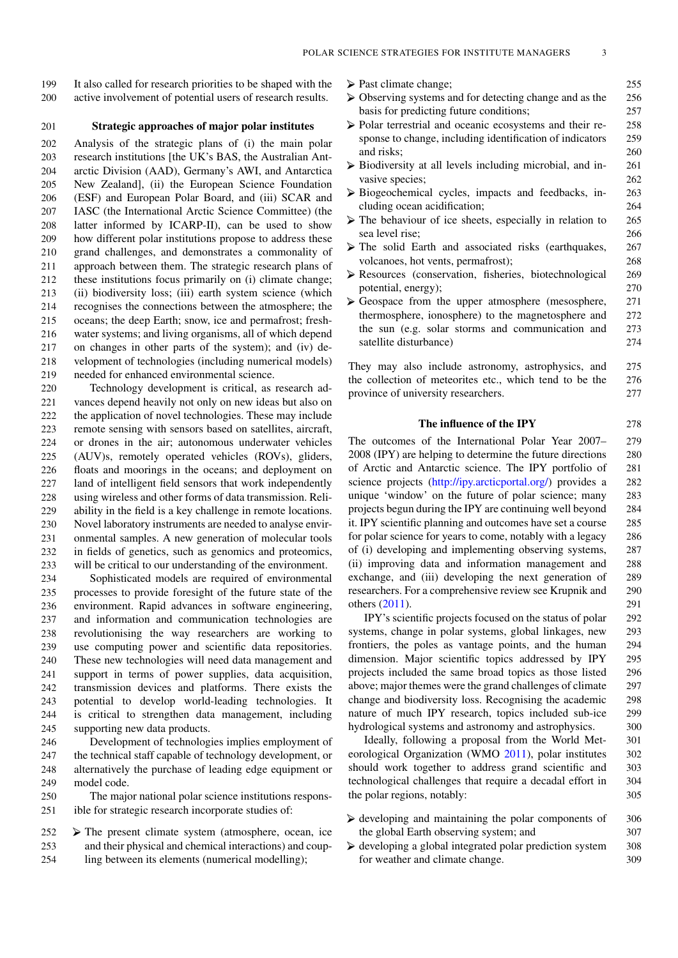199 It also called for research priorities to be shaped with the 200 active involvement of potential users of research results.

## 201 **Strategic approaches of major polar institutes**

 Analysis of the strategic plans of (i) the main polar research institutions [the UK's BAS, the Australian Ant- arctic Division (AAD), Germany's AWI, and Antarctica New Zealand], (ii) the European Science Foundation (ESF) and European Polar Board, and (iii) SCAR and IASC (the International Arctic Science Committee) (the latter informed by ICARP-II), can be used to show how different polar institutions propose to address these grand challenges, and demonstrates a commonality of approach between them. The strategic research plans of these institutions focus primarily on (i) climate change; (ii) biodiversity loss; (iii) earth system science (which recognises the connections between the atmosphere; the oceans; the deep Earth; snow, ice and permafrost; fresh- water systems; and living organisms, all of which depend on changes in other parts of the system); and (iv) de- velopment of technologies (including numerical models) needed for enhanced environmental science.

 Technology development is critical, as research ad- vances depend heavily not only on new ideas but also on the application of novel technologies. These may include remote sensing with sensors based on satellites, aircraft, or drones in the air; autonomous underwater vehicles (AUV)s, remotely operated vehicles (ROVs), gliders, floats and moorings in the oceans; and deployment on land of intelligent field sensors that work independently using wireless and other forms of data transmission. Reli- ability in the field is a key challenge in remote locations. Novel laboratory instruments are needed to analyse envir- onmental samples. A new generation of molecular tools in fields of genetics, such as genomics and proteomics, will be critical to our understanding of the environment.

 Sophisticated models are required of environmental processes to provide foresight of the future state of the environment. Rapid advances in software engineering, and information and communication technologies are revolutionising the way researchers are working to use computing power and scientific data repositories. These new technologies will need data management and support in terms of power supplies, data acquisition, transmission devices and platforms. There exists the potential to develop world-leading technologies. It is critical to strengthen data management, including supporting new data products.

 Development of technologies implies employment of the technical staff capable of technology development, or alternatively the purchase of leading edge equipment or model code.

250 The major national polar science institutions respons-251 ible for strategic research incorporate studies of:

 $252$   $\triangleright$  The present climate system (atmosphere, ocean, ice 253 and their physical and chemical interactions) and coup-254 ling between its elements (numerical modelling);

- ▶ Past climate change; 255
- Observing systems and for detecting change and as the 256 basis for predicting future conditions; 257
- $\triangleright$  Polar terrestrial and oceanic ecosystems and their re- 258 sponse to change, including identification of indicators 259 and risks; 260
- $\triangleright$  Biodiversity at all levels including microbial, and in- 261 vasive species; 262
- Biogeochemical cycles, impacts and feedbacks, in- 263 cluding ocean acidification; 264
- $\triangleright$  The behaviour of ice sheets, especially in relation to 265 sea level rise; 266
- The solid Earth and associated risks (earthquakes, 267 volcanoes, hot vents, permafrost); 268
- Resources (conservation, fisheries, biotechnological 269 potential, energy); 270
- $\triangleright$  Geospace from the upper atmosphere (mesosphere, 271) thermosphere, ionosphere) to the magnetosphere and 272 the sun (e.g. solar storms and communication and 273 satellite disturbance) 274

They may also include astronomy, astrophysics, and 275 the collection of meteorites etc., which tend to be the 276 province of university researchers. 277

#### **The influence of the IPY** 278

The outcomes of the International Polar Year 2007– 279 2008 (IPY) are helping to determine the future directions 280 of Arctic and Antarctic science. The IPY portfolio of 281 science projects [\(http://ipy.arcticportal.org/\)](http://ipy.arcticportal.org/) provides a 282 unique 'window' on the future of polar science; many 283 projects begun during the IPY are continuing well beyond 284 it. IPY scientific planning and outcomes have set a course 285 for polar science for years to come, notably with a legacy 286 of (i) developing and implementing observing systems, 287 (ii) improving data and information management and 288 exchange, and (iii) developing the next generation of 289 researchers. For a comprehensive review see Krupnik and 290 others (2011). 291

IPY's scientific projects focused on the status of polar 292 systems, change in polar systems, global linkages, new 293 frontiers, the poles as vantage points, and the human 294 dimension. Major scientific topics addressed by IPY 295 projects included the same broad topics as those listed 296 above; major themes were the grand challenges of climate 297 change and biodiversity loss. Recognising the academic 298 nature of much IPY research, topics included sub-ice 299 hydrological systems and astronomy and astrophysics. 300

Ideally, following a proposal from the World Met- 301 eorological Organization (WMO 2011), polar institutes 302 should work together to address grand scientific and 303 technological challenges that require a decadal effort in 304 the polar regions, notably:  $305$ 

- $\blacktriangleright$  developing and maintaining the polar components of 306 the global Earth observing system; and  $307$
- $\blacktriangleright$  developing a global integrated polar prediction system 308 for weather and climate change. 309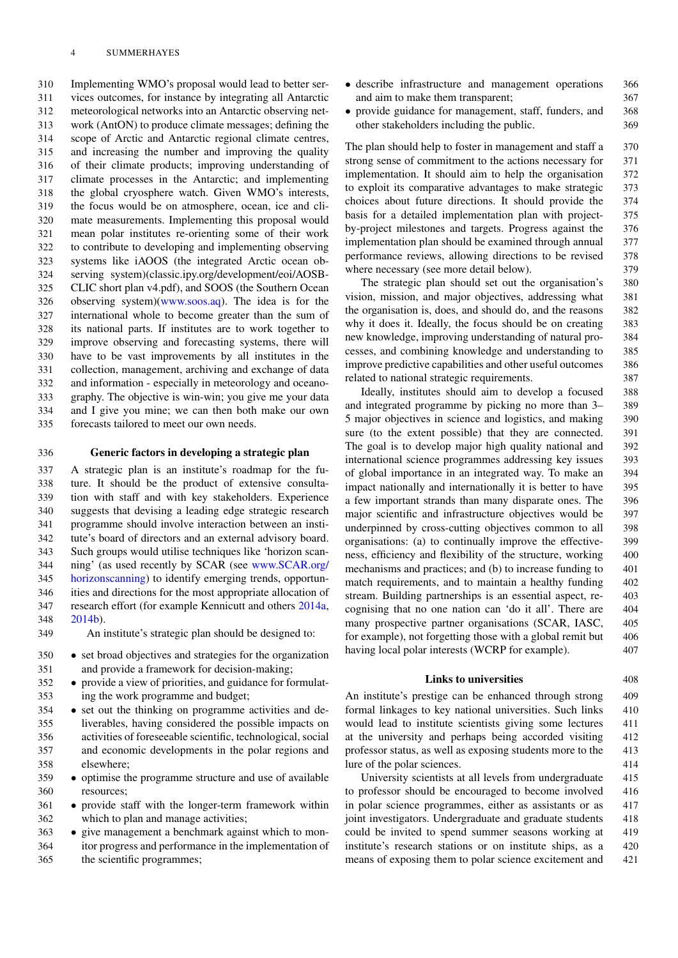Implementing WMO's proposal would lead to better ser- vices outcomes, for instance by integrating all Antarctic meteorological networks into an Antarctic observing net- work (AntON) to produce climate messages; defining the scope of Arctic and Antarctic regional climate centres, and increasing the number and improving the quality of their climate products; improving understanding of climate processes in the Antarctic; and implementing the global cryosphere watch. Given WMO's interests, the focus would be on atmosphere, ocean, ice and cli- mate measurements. Implementing this proposal would mean polar institutes re-orienting some of their work to contribute to developing and implementing observing systems like iAOOS (the integrated Arctic ocean ob- serving system)(classic.ipy.org/development/eoi/AOSB- CLIC short plan v4.pdf), and SOOS (the Southern Ocean observing system)[\(www.soos.aq\)](http://www.soos.aq). The idea is for the international whole to become greater than the sum of its national parts. If institutes are to work together to improve observing and forecasting systems, there will have to be vast improvements by all institutes in the collection, management, archiving and exchange of data and information - especially in meteorology and oceano- graphy. The objective is win-win; you give me your data and I give you mine; we can then both make our own forecasts tailored to meet our own needs.

# 336 **Generic factors in developing a strategic plan**

 A strategic plan is an institute's roadmap for the fu- ture. It should be the product of extensive consulta- tion with staff and with key stakeholders. Experience suggests that devising a leading edge strategic research programme should involve interaction between an insti- tute's board of directors and an external advisory board. Such groups would utilise techniques like 'horizon scan- ning' (as used recently by SCAR (see [w](http://www.SCAR.org/horizonscanning)ww.SCAR.org/ [horizonscanning\)](http://www.SCAR.org/horizonscanning) to identify emerging trends, opportun- ities and directions for the most appropriate allocation of research effort (for example Kennicutt and others 2014a, 348 2014b).

- 349 An institute's strategic plan should be designed to:
- 350 set broad objectives and strategies for the organization<br>351 and provide a framework for decision-making: and provide a framework for decision-making;
- 352 provide a view of priorities, and guidance for formulat-<br>353 ing the work programme and budget: ing the work programme and budget:
- 354 set out the thinking on programme activities and de-<br>355 liverables, having considered the possible impacts on liverables, having considered the possible impacts on 356 activities of foreseeable scientific, technological, social 357 and economic developments in the polar regions and 358 elsewhere;
- 359 optimise the programme structure and use of available<br>360 resources; resources;
- 361 provide staff with the longer-term framework within 362 which to plan and manage activities. which to plan and manage activities;
- <sup>363</sup> give management a benchmark against which to mon-<br><sup>364</sup> tor progress and performance in the implementation of itor progress and performance in the implementation of 365 the scientific programmes;
- describe infrastructure and management operations 366<br>and aim to make them transparent: 367 and aim to make them transparent;
- provide guidance for management, staff, funders, and 368 other stakeholders including the public. 369 other stakeholders including the public.

The plan should help to foster in management and staff a 370 strong sense of commitment to the actions necessary for 371 implementation. It should aim to help the organisation 372 to exploit its comparative advantages to make strategic 373 choices about future directions. It should provide the 374 basis for a detailed implementation plan with project- 375 by-project milestones and targets. Progress against the 376 implementation plan should be examined through annual 377 performance reviews, allowing directions to be revised 378 where necessary (see more detail below).  $379$ 

The strategic plan should set out the organisation's 380 vision, mission, and major objectives, addressing what 381 the organisation is, does, and should do, and the reasons 382 why it does it. Ideally, the focus should be on creating 383 new knowledge, improving understanding of natural pro- 384 cesses, and combining knowledge and understanding to 385 improve predictive capabilities and other useful outcomes 386 related to national strategic requirements. 387

Ideally, institutes should aim to develop a focused 388 and integrated programme by picking no more than 3– 389 5 major objectives in science and logistics, and making 390 sure (to the extent possible) that they are connected. 391 The goal is to develop major high quality national and 392 international science programmes addressing key issues 393 of global importance in an integrated way. To make an 394 impact nationally and internationally it is better to have 395 a few important strands than many disparate ones. The 396 major scientific and infrastructure objectives would be 397 underpinned by cross-cutting objectives common to all 398 organisations: (a) to continually improve the effective- 399 ness, efficiency and flexibility of the structure, working 400 mechanisms and practices; and (b) to increase funding to 401 match requirements, and to maintain a healthy funding 402 stream. Building partnerships is an essential aspect, re- 403 cognising that no one nation can 'do it all'. There are 404 many prospective partner organisations (SCAR, IASC, 405) for example), not forgetting those with a global remit but 406 having local polar interests (WCRP for example). 407

# **Links to universities** 408

An institute's prestige can be enhanced through strong 409 formal linkages to key national universities. Such links 410 would lead to institute scientists giving some lectures 411 at the university and perhaps being accorded visiting 412 professor status, as well as exposing students more to the 413 lure of the polar sciences. 414

University scientists at all levels from undergraduate 415 to professor should be encouraged to become involved 416 in polar science programmes, either as assistants or as 417 joint investigators. Undergraduate and graduate students 418 could be invited to spend summer seasons working at 419 institute's research stations or on institute ships, as a 420 means of exposing them to polar science excitement and 421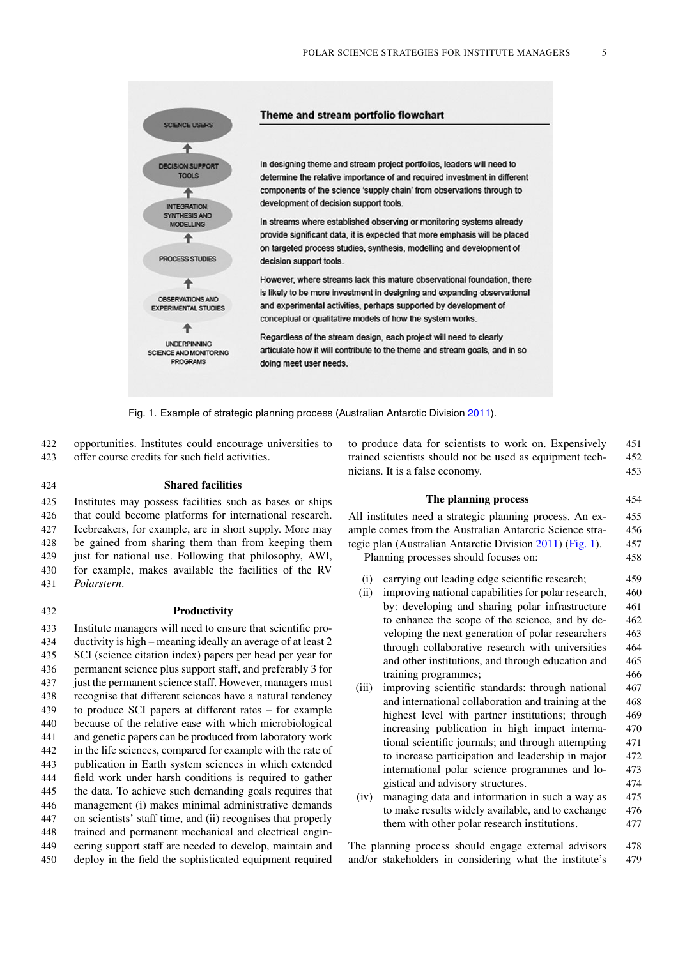

Fig. 1. Example of strategic planning process (Australian Antarctic Division 2011).

422 opportunities. Institutes could encourage universities to 423 offer course credits for such field activities.

424 **Shared facilities**

 Institutes may possess facilities such as bases or ships that could become platforms for international research. Icebreakers, for example, are in short supply. More may be gained from sharing them than from keeping them 429 just for national use. Following that philosophy, AWI, for example, makes available the facilities of the RV *Polarstern*.

#### 432 **Productivity**

 Institute managers will need to ensure that scientific pro- ductivity is high – meaning ideally an average of at least 2 SCI (science citation index) papers per head per year for permanent science plus support staff, and preferably 3 for just the permanent science staff. However, managers must recognise that different sciences have a natural tendency to produce SCI papers at different rates – for example because of the relative ease with which microbiological and genetic papers can be produced from laboratory work in the life sciences, compared for example with the rate of publication in Earth system sciences in which extended field work under harsh conditions is required to gather the data. To achieve such demanding goals requires that management (i) makes minimal administrative demands on scientists' staff time, and (ii) recognises that properly trained and permanent mechanical and electrical engin- eering support staff are needed to develop, maintain and deploy in the field the sophisticated equipment required to produce data for scientists to work on. Expensively 451 trained scientists should not be used as equipment tech- 452 nicians. It is a false economy. 453

#### **The planning process** 454

All institutes need a strategic planning process. An ex- 455 ample comes from the Australian Antarctic Science stra- 456 tegic plan (Australian Antarctic Division 2011) (Fig. 1). 457

Planning processes should focuses on: 458

- (i) carrying out leading edge scientific research; 459
- (ii) improving national capabilities for polar research, 460 by: developing and sharing polar infrastructure 461 to enhance the scope of the science, and by de- 462 veloping the next generation of polar researchers 463 through collaborative research with universities 464 and other institutions, and through education and 465 training programmes; 466
- (iii) improving scientific standards: through national 467 and international collaboration and training at the 468 highest level with partner institutions; through 469 increasing publication in high impact interna- 470 tional scientific journals; and through attempting 471 to increase participation and leadership in major 472 international polar science programmes and lo- 473 gistical and advisory structures. 474
- (iv) managing data and information in such a way as 475 to make results widely available, and to exchange 476 them with other polar research institutions. 477

The planning process should engage external advisors 478 and/or stakeholders in considering what the institute's 479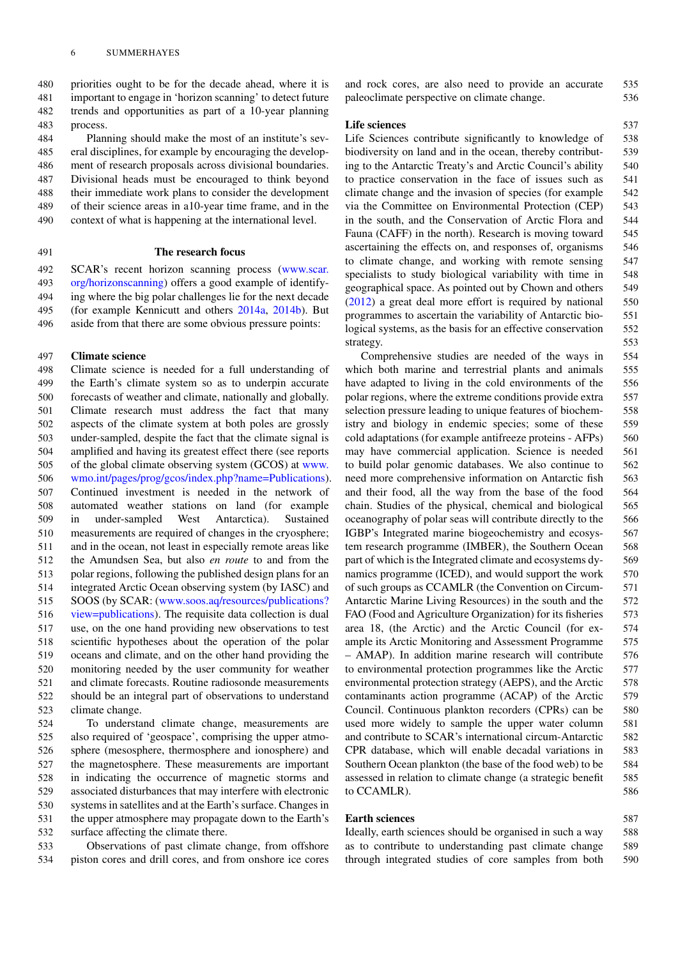priorities ought to be for the decade ahead, where it is important to engage in 'horizon scanning' to detect future trends and opportunities as part of a 10-year planning 483 process.

 Planning should make the most of an institute's sev- eral disciplines, for example by encouraging the develop- ment of research proposals across divisional boundaries. Divisional heads must be encouraged to think beyond their immediate work plans to consider the development of their science areas in a10-year time frame, and in the context of what is happening at the international level.

#### 491 **The research focus**

 SCAR's recent horizon scanning process [\(w](http://www.scar.org/horizonscanning)ww.scar. [org/horizonscanning\)](http://www.scar.org/horizonscanning) offers a good example of identify- ing where the big polar challenges lie for the next decade (for example Kennicutt and others 2014a, 2014b). But aside from that there are some obvious pressure points:

### 497 **Climate science**

 Climate science is needed for a full understanding of the Earth's climate system so as to underpin accurate forecasts of weather and climate, nationally and globally. Climate research must address the fact that many aspects of the climate system at both poles are grossly under-sampled, despite the fact that the climate signal is amplified and having its greatest effect there (see reports of the global climate observing system (GCOS) at [www.](http://www.wmo.int/pages/prog/gcos/index.phpegingroup count@ "003F
elax 
elax uccode `~count@ uppercase {gdef ={{char ) [wmo.int/pages/prog/gcos/index.php?name=Publications\)](http://www.wmo.int/pages/prog/gcos/index.phpegingroup count@ "003F
elax 
elax uccode `~count@ uppercase {gdef ={{char ). Continued investment is needed in the network of automated weather stations on land (for example in under-sampled West Antarctica). Sustained measurements are required of changes in the cryosphere; and in the ocean, not least in especially remote areas like the Amundsen Sea, but also *en route* to and from the polar regions, following the published design plans for an integrated Arctic Ocean observing system (by IASC) and SOOS (by SCAR: [\(w](http://www.soos.aq/resources/publicationsegingroup count@ "003F
elax 
elax uccode `~count@ uppercase {gdef ={{char )ww.soos.aq/resources/publications? [view=publications\)](http://www.soos.aq/resources/publicationsegingroup count@ "003F
elax 
elax uccode `~count@ uppercase {gdef ={{char ). The requisite data collection is dual use, on the one hand providing new observations to test scientific hypotheses about the operation of the polar oceans and climate, and on the other hand providing the monitoring needed by the user community for weather and climate forecasts. Routine radiosonde measurements should be an integral part of observations to understand climate change.

 To understand climate change, measurements are also required of 'geospace', comprising the upper atmo- sphere (mesosphere, thermosphere and ionosphere) and the magnetosphere. These measurements are important in indicating the occurrence of magnetic storms and associated disturbances that may interfere with electronic systems in satellites and at the Earth's surface. Changes in the upper atmosphere may propagate down to the Earth's surface affecting the climate there.

533 Observations of past climate change, from offshore 534 piston cores and drill cores, and from onshore ice cores and rock cores, are also need to provide an accurate 535 paleoclimate perspective on climate change. 536

#### Life sciences 537

Life Sciences contribute significantly to knowledge of 538 biodiversity on land and in the ocean, thereby contribut- 539 ing to the Antarctic Treaty's and Arctic Council's ability 540 to practice conservation in the face of issues such as 541 climate change and the invasion of species (for example 542 via the Committee on Environmental Protection (CEP) 543 in the south, and the Conservation of Arctic Flora and 544 Fauna (CAFF) in the north). Research is moving toward 545 ascertaining the effects on, and responses of, organisms 546 to climate change, and working with remote sensing 547 specialists to study biological variability with time in 548 geographical space. As pointed out by Chown and others 549 (2012) a great deal more effort is required by national 550 programmes to ascertain the variability of Antarctic bio- 551 logical systems, as the basis for an effective conservation 552 strategy. 553

Comprehensive studies are needed of the ways in 554 which both marine and terrestrial plants and animals 555 have adapted to living in the cold environments of the 556 polar regions, where the extreme conditions provide extra 557 selection pressure leading to unique features of biochem- 558 istry and biology in endemic species; some of these 559 cold adaptations (for example antifreeze proteins - AFPs) 560 may have commercial application. Science is needed 561 to build polar genomic databases. We also continue to 562 need more comprehensive information on Antarctic fish 563 and their food, all the way from the base of the food 564 chain. Studies of the physical, chemical and biological 565 oceanography of polar seas will contribute directly to the 566 IGBP's Integrated marine biogeochemistry and ecosys- 567 tem research programme (IMBER), the Southern Ocean 568 part of which is the Integrated climate and ecosystems dy- 569 namics programme (ICED), and would support the work 570 of such groups as CCAMLR (the Convention on Circum- 571 Antarctic Marine Living Resources) in the south and the 572 FAO (Food and Agriculture Organization) for its fisheries 573 area 18, (the Arctic) and the Arctic Council (for ex- 574 ample its Arctic Monitoring and Assessment Programme 575 – AMAP). In addition marine research will contribute 576 to environmental protection programmes like the Arctic 577 environmental protection strategy (AEPS), and the Arctic 578 contaminants action programme (ACAP) of the Arctic 579 Council. Continuous plankton recorders (CPRs) can be 580 used more widely to sample the upper water column 581 and contribute to SCAR's international circum-Antarctic 582 CPR database, which will enable decadal variations in 583 Southern Ocean plankton (the base of the food web) to be 584 assessed in relation to climate change (a strategic benefit 585 to CCAMLR). 586

# **Earth sciences** 587

Ideally, earth sciences should be organised in such a way 588 as to contribute to understanding past climate change 589 through integrated studies of core samples from both 590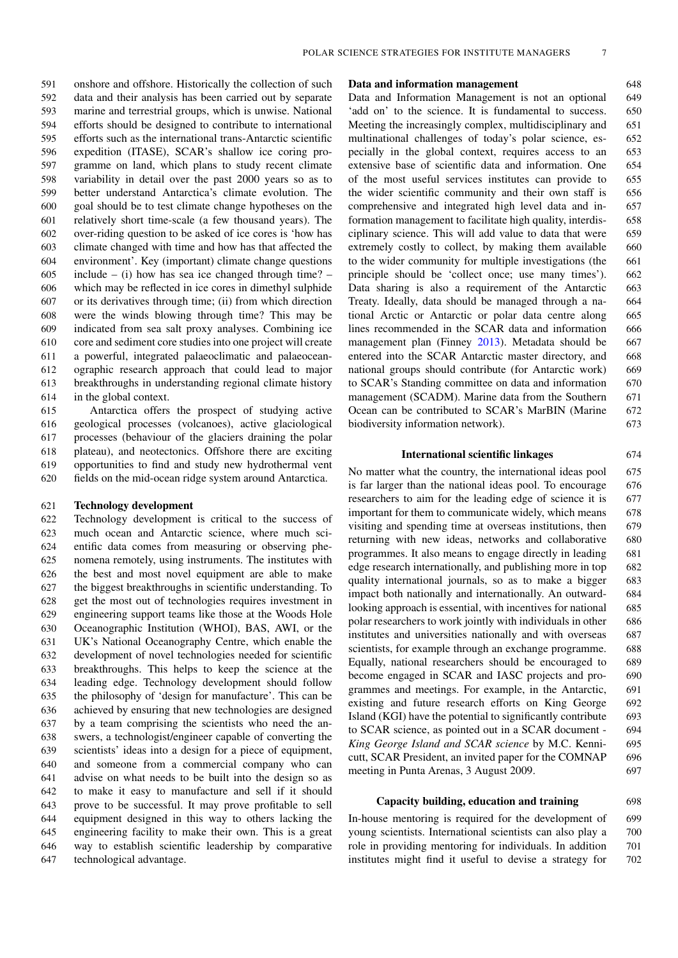onshore and offshore. Historically the collection of such data and their analysis has been carried out by separate marine and terrestrial groups, which is unwise. National efforts should be designed to contribute to international efforts such as the international trans-Antarctic scientific expedition (ITASE), SCAR's shallow ice coring pro- gramme on land, which plans to study recent climate variability in detail over the past 2000 years so as to better understand Antarctica's climate evolution. The goal should be to test climate change hypotheses on the relatively short time-scale (a few thousand years). The over-riding question to be asked of ice cores is 'how has climate changed with time and how has that affected the environment'. Key (important) climate change questions 605 include – (i) how has sea ice changed through time? – which may be reflected in ice cores in dimethyl sulphide or its derivatives through time; (ii) from which direction were the winds blowing through time? This may be indicated from sea salt proxy analyses. Combining ice core and sediment core studies into one project will create a powerful, integrated palaeoclimatic and palaeocean- ographic research approach that could lead to major breakthroughs in understanding regional climate history in the global context.

 Antarctica offers the prospect of studying active geological processes (volcanoes), active glaciological processes (behaviour of the glaciers draining the polar plateau), and neotectonics. Offshore there are exciting opportunities to find and study new hydrothermal vent fields on the mid-ocean ridge system around Antarctica.

# 621 **Technology development**

 Technology development is critical to the success of much ocean and Antarctic science, where much sci- entific data comes from measuring or observing phe- nomena remotely, using instruments. The institutes with the best and most novel equipment are able to make the biggest breakthroughs in scientific understanding. To get the most out of technologies requires investment in engineering support teams like those at the Woods Hole Oceanographic Institution (WHOI), BAS, AWI, or the UK's National Oceanography Centre, which enable the development of novel technologies needed for scientific breakthroughs. This helps to keep the science at the leading edge. Technology development should follow the philosophy of 'design for manufacture'. This can be achieved by ensuring that new technologies are designed by a team comprising the scientists who need the an- swers, a technologist/engineer capable of converting the scientists' ideas into a design for a piece of equipment, and someone from a commercial company who can advise on what needs to be built into the design so as to make it easy to manufacture and sell if it should prove to be successful. It may prove profitable to sell equipment designed in this way to others lacking the engineering facility to make their own. This is a great way to establish scientific leadership by comparative technological advantage.

### **Data and information management** 648

Data and Information Management is not an optional 649 'add on' to the science. It is fundamental to success. 650 Meeting the increasingly complex, multidisciplinary and 651 multinational challenges of today's polar science, es- 652 pecially in the global context, requires access to an 653 extensive base of scientific data and information. One 654 of the most useful services institutes can provide to 655 the wider scientific community and their own staff is 656 comprehensive and integrated high level data and in- 657 formation management to facilitate high quality, interdis- 658 ciplinary science. This will add value to data that were 659 extremely costly to collect, by making them available 660 to the wider community for multiple investigations (the 661 principle should be 'collect once; use many times'). 662 Data sharing is also a requirement of the Antarctic 663 Treaty. Ideally, data should be managed through a na- 664 tional Arctic or Antarctic or polar data centre along 665 lines recommended in the SCAR data and information 666 management plan (Finney 2013). Metadata should be 667 entered into the SCAR Antarctic master directory, and 668 national groups should contribute (for Antarctic work) 669 to SCAR's Standing committee on data and information 670 management (SCADM). Marine data from the Southern 671 Ocean can be contributed to SCAR's MarBIN (Marine 672) biodiversity information network). 673

# **International scientific linkages** 674

No matter what the country, the international ideas pool 675 is far larger than the national ideas pool. To encourage 676 researchers to aim for the leading edge of science it is 677 important for them to communicate widely, which means 678 visiting and spending time at overseas institutions, then 679 returning with new ideas, networks and collaborative 680 programmes. It also means to engage directly in leading 681 edge research internationally, and publishing more in top 682 quality international journals, so as to make a bigger 683 impact both nationally and internationally. An outward- 684 looking approach is essential, with incentives for national 685 polar researchers to work jointly with individuals in other 686 institutes and universities nationally and with overseas 687 scientists, for example through an exchange programme. 688 Equally, national researchers should be encouraged to 689 become engaged in SCAR and IASC projects and pro- 690 grammes and meetings. For example, in the Antarctic, 691 existing and future research efforts on King George 692 Island (KGI) have the potential to significantly contribute 693 to SCAR science, as pointed out in a SCAR document - 694 *King George Island and SCAR science* by M.C. Kenni- 695 cutt, SCAR President, an invited paper for the COMNAP 696 meeting in Punta Arenas, 3 August 2009. 697

# **Capacity building, education and training** 698

In-house mentoring is required for the development of 699 young scientists. International scientists can also play a 700 role in providing mentoring for individuals. In addition 701 institutes might find it useful to devise a strategy for 702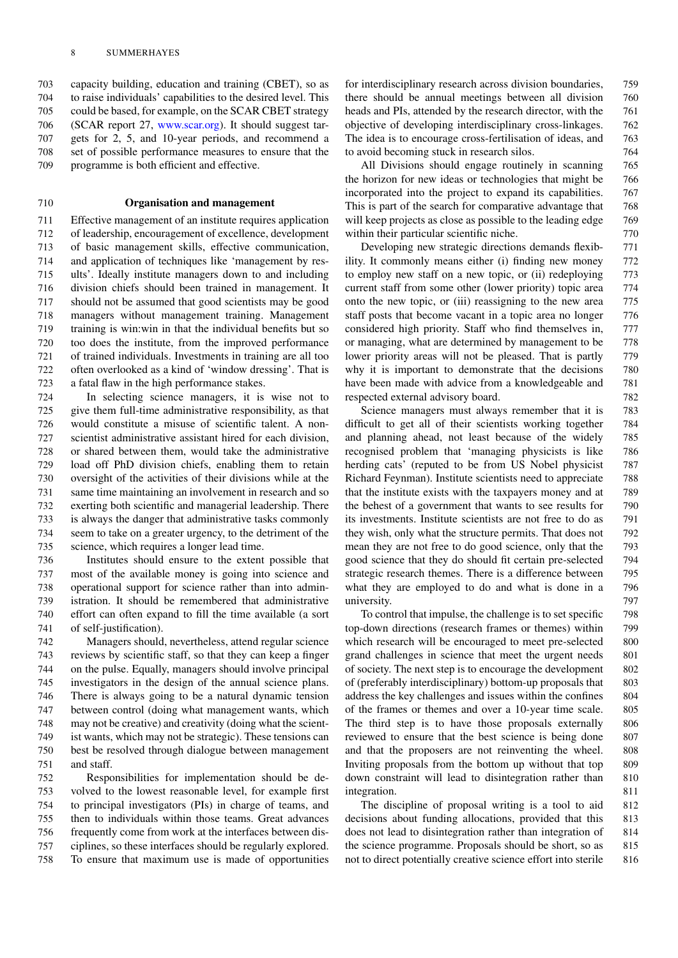capacity building, education and training (CBET), so as to raise individuals' capabilities to the desired level. This could be based, for example, on the SCAR CBET strategy (SCAR report 27, [www.scar.org\)](http://www.scar.org). It should suggest tar- gets for 2, 5, and 10-year periods, and recommend a set of possible performance measures to ensure that the programme is both efficient and effective.

# 710 **Organisation and management**

 Effective management of an institute requires application of leadership, encouragement of excellence, development of basic management skills, effective communication, and application of techniques like 'management by res- ults'. Ideally institute managers down to and including division chiefs should been trained in management. It should not be assumed that good scientists may be good managers without management training. Management training is win:win in that the individual benefits but so too does the institute, from the improved performance of trained individuals. Investments in training are all too often overlooked as a kind of 'window dressing'. That is a fatal flaw in the high performance stakes.

 In selecting science managers, it is wise not to give them full-time administrative responsibility, as that would constitute a misuse of scientific talent. A non- scientist administrative assistant hired for each division, or shared between them, would take the administrative load off PhD division chiefs, enabling them to retain oversight of the activities of their divisions while at the same time maintaining an involvement in research and so exerting both scientific and managerial leadership. There is always the danger that administrative tasks commonly seem to take on a greater urgency, to the detriment of the science, which requires a longer lead time.

 Institutes should ensure to the extent possible that most of the available money is going into science and operational support for science rather than into admin- istration. It should be remembered that administrative effort can often expand to fill the time available (a sort of self-justification).

 Managers should, nevertheless, attend regular science reviews by scientific staff, so that they can keep a finger on the pulse. Equally, managers should involve principal investigators in the design of the annual science plans. There is always going to be a natural dynamic tension between control (doing what management wants, which may not be creative) and creativity (doing what the scient- ist wants, which may not be strategic). These tensions can best be resolved through dialogue between management and staff.

 Responsibilities for implementation should be de- volved to the lowest reasonable level, for example first to principal investigators (PIs) in charge of teams, and then to individuals within those teams. Great advances frequently come from work at the interfaces between dis- ciplines, so these interfaces should be regularly explored. To ensure that maximum use is made of opportunities for interdisciplinary research across division boundaries, 759 there should be annual meetings between all division 760 heads and PIs, attended by the research director, with the 761 objective of developing interdisciplinary cross-linkages. 762 The idea is to encourage cross-fertilisation of ideas, and 763 to avoid becoming stuck in research silos. 764

All Divisions should engage routinely in scanning 765 the horizon for new ideas or technologies that might be 766 incorporated into the project to expand its capabilities. 767 This is part of the search for comparative advantage that 768 will keep projects as close as possible to the leading edge 769 within their particular scientific niche. 770

Developing new strategic directions demands flexib- 771 ility. It commonly means either (i) finding new money 772 to employ new staff on a new topic, or (ii) redeploying 773 current staff from some other (lower priority) topic area 774 onto the new topic, or (iii) reassigning to the new area 775 staff posts that become vacant in a topic area no longer 776 considered high priority. Staff who find themselves in, 777 or managing, what are determined by management to be 778 lower priority areas will not be pleased. That is partly 779 why it is important to demonstrate that the decisions 780 have been made with advice from a knowledgeable and 781 respected external advisory board. 782

Science managers must always remember that it is 783 difficult to get all of their scientists working together 784 and planning ahead, not least because of the widely 785 recognised problem that 'managing physicists is like 786 herding cats' (reputed to be from US Nobel physicist 787 Richard Feynman). Institute scientists need to appreciate 788 that the institute exists with the taxpayers money and at 789 the behest of a government that wants to see results for 790 its investments. Institute scientists are not free to do as 791 they wish, only what the structure permits. That does not 792 mean they are not free to do good science, only that the 793 good science that they do should fit certain pre-selected 794 strategic research themes. There is a difference between 795 what they are employed to do and what is done in a 796 university. 797

To control that impulse, the challenge is to set specific 798 top-down directions (research frames or themes) within 799 which research will be encouraged to meet pre-selected 800 grand challenges in science that meet the urgent needs 801 of society. The next step is to encourage the development 802 of (preferably interdisciplinary) bottom-up proposals that 803 address the key challenges and issues within the confines 804 of the frames or themes and over a 10-year time scale. 805 The third step is to have those proposals externally 806 reviewed to ensure that the best science is being done 807 and that the proposers are not reinventing the wheel. 808 Inviting proposals from the bottom up without that top 809 down constraint will lead to disintegration rather than 810 integration. 811

The discipline of proposal writing is a tool to aid 812 decisions about funding allocations, provided that this 813 does not lead to disintegration rather than integration of 814 the science programme. Proposals should be short, so as 815 not to direct potentially creative science effort into sterile 816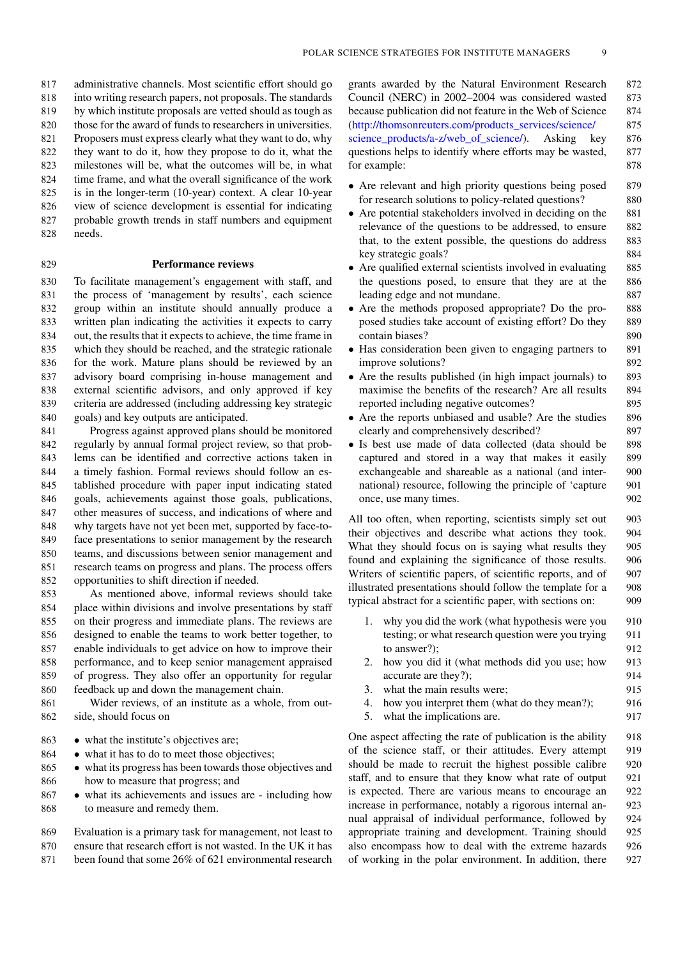administrative channels. Most scientific effort should go into writing research papers, not proposals. The standards by which institute proposals are vetted should as tough as those for the award of funds to researchers in universities. Proposers must express clearly what they want to do, why they want to do it, how they propose to do it, what the milestones will be, what the outcomes will be, in what time frame, and what the overall significance of the work is in the longer-term (10-year) context. A clear 10-year view of science development is essential for indicating probable growth trends in staff numbers and equipment 828 needs.

#### 829 **Performance reviews**

 To facilitate management's engagement with staff, and the process of 'management by results', each science group within an institute should annually produce a written plan indicating the activities it expects to carry out, the results that it expects to achieve, the time frame in which they should be reached, and the strategic rationale for the work. Mature plans should be reviewed by an advisory board comprising in-house management and external scientific advisors, and only approved if key criteria are addressed (including addressing key strategic goals) and key outputs are anticipated.

 Progress against approved plans should be monitored regularly by annual formal project review, so that prob- lems can be identified and corrective actions taken in a timely fashion. Formal reviews should follow an es- tablished procedure with paper input indicating stated goals, achievements against those goals, publications, other measures of success, and indications of where and why targets have not yet been met, supported by face-to- face presentations to senior management by the research teams, and discussions between senior management and research teams on progress and plans. The process offers opportunities to shift direction if needed.

 As mentioned above, informal reviews should take place within divisions and involve presentations by staff on their progress and immediate plans. The reviews are designed to enable the teams to work better together, to enable individuals to get advice on how to improve their performance, and to keep senior management appraised of progress. They also offer an opportunity for regular feedback up and down the management chain.

861 Wider reviews, of an institute as a whole, from out-862 side, should focus on

- 863 what the institute's objectives are;<br>864 what it has to do to meet those obj
- 864 what it has to do to meet those objectives;<br>865 what its progress has been towards those ob
- 865 what its progress has been towards those objectives and<br>866 how to measure that progress; and how to measure that progress; and
- 867 what its achievements and issues are including how<br>868 to measure and remedy them. to measure and remedy them.
- 869 Evaluation is a primary task for management, not least to 870 ensure that research effort is not wasted. In the UK it has
- 871 been found that some 26% of 621 environmental research

grants awarded by the Natural Environment Research 872 Council (NERC) in 2002–2004 was considered wasted 873 because publication did not feature in the Web of Science 874 [\(http://thomsonreuters.com/products\\_services/science/](http://thomsonreuters.com/products_services/science/science_products/a-z/web_of_science/) 875 [science\\_products/a-z/web\\_of\\_science/\)](http://thomsonreuters.com/products_services/science/science_products/a-z/web_of_science/). Asking key 876 questions helps to identify where efforts may be wasted, 877 for example: 878

- Are relevant and high priority questions being posed 879<br>for research solutions to policy-related questions? for research solutions to policy-related questions?
- Are potential stakeholders involved in deciding on the 881 relevance of the questions to be addressed, to ensure 882 relevance of the questions to be addressed, to ensure that, to the extent possible, the questions do address 883 key strategic goals? 884
- Are qualified external scientists involved in evaluating 885 the questions posed, to ensure that they are at the 886 the questions posed, to ensure that they are at the leading edge and not mundane. 887
- Are the methods proposed appropriate? Do the pro-<br>nosed studies take account of existing effort? Do they 889 posed studies take account of existing effort? Do they contain biases? 890
- Has consideration been given to engaging partners to 891 improve solutions? improve solutions?
- Are the results published (in high impact journals) to 893 maximise the benefits of the research? Are all results 894 maximise the benefits of the research? Are all results reported including negative outcomes? 895
- Are the reports unbiased and usable? Are the studies 896 clearly and comprehensively described? 897 clearly and comprehensively described?
- Is best use made of data collected (data should be 898<br>captured and stored in a way that makes it easily 899 captured and stored in a way that makes it easily exchangeable and shareable as a national (and inter- 900 national) resource, following the principle of 'capture 901 once, use many times. 902

All too often, when reporting, scientists simply set out 903 their objectives and describe what actions they took. 904 What they should focus on is saying what results they 905 found and explaining the significance of those results. 906 Writers of scientific papers, of scientific reports, and of 907 illustrated presentations should follow the template for a 908 typical abstract for a scientific paper, with sections on: 909

- 1. why you did the work (what hypothesis were you 910 testing; or what research question were you trying 911 to answer?):  $912$
- 2. how you did it (what methods did you use; how 913 accurate are they?); 914
- 3. what the main results were; 915
- 4. how you interpret them (what do they mean?); 916
- 5. what the implications are. 917

One aspect affecting the rate of publication is the ability 918 of the science staff, or their attitudes. Every attempt 919 should be made to recruit the highest possible calibre 920 staff, and to ensure that they know what rate of output 921 is expected. There are various means to encourage an 922 increase in performance, notably a rigorous internal an- 923 nual appraisal of individual performance, followed by 924 appropriate training and development. Training should 925 also encompass how to deal with the extreme hazards 926 of working in the polar environment. In addition, there 927